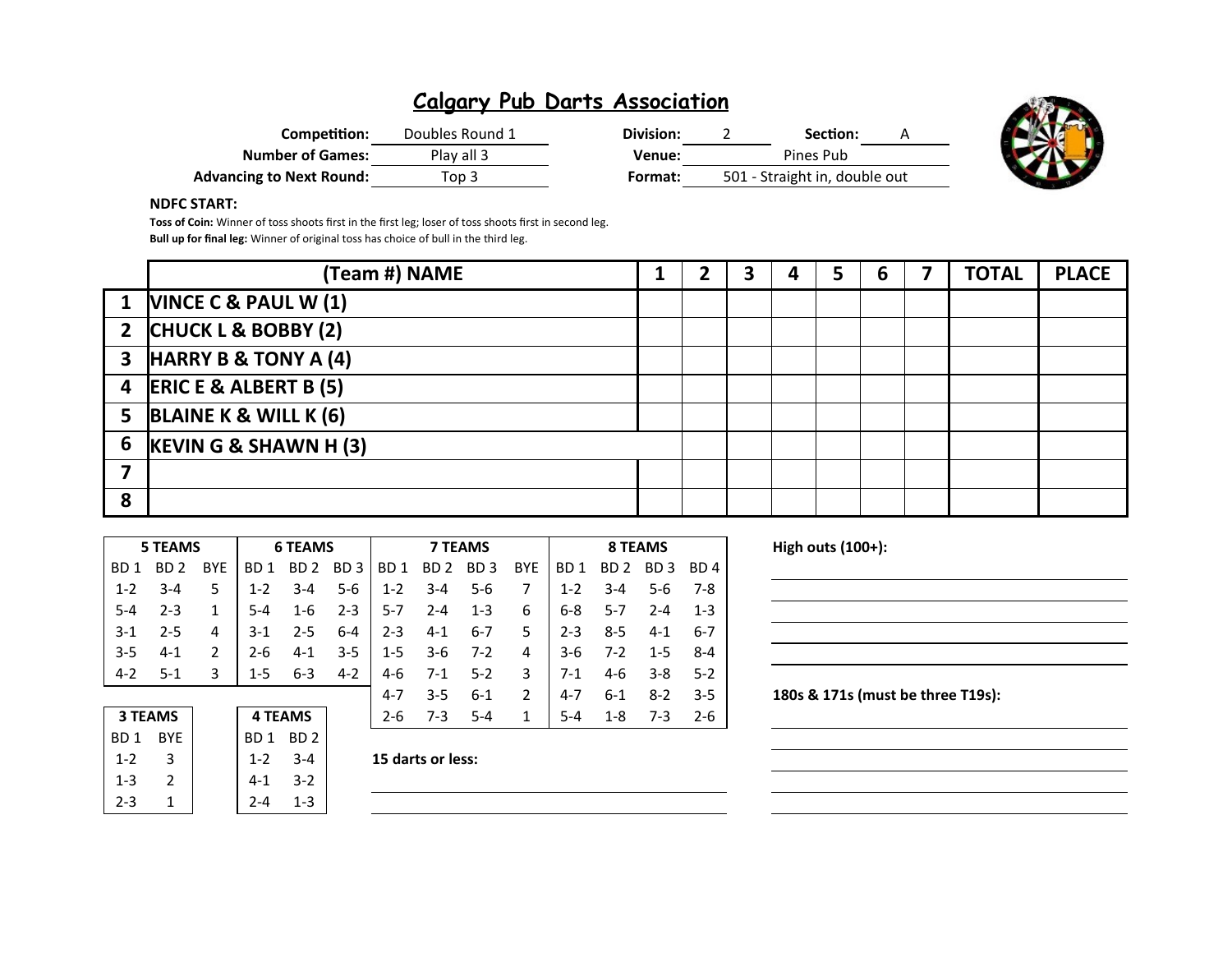| Competition:                    | Doubles Round 1 | Division: |                               | Section:  |  |
|---------------------------------|-----------------|-----------|-------------------------------|-----------|--|
| <b>Number of Games:</b>         | Play all 3      | Venue:    |                               | Pines Pub |  |
| <b>Advancing to Next Round:</b> | Top 3           | Format:   | 501 - Straight in, double out |           |  |



#### **NDFC START:**

**Toss of Coin:** Winner of toss shoots first in the first leg; loser of toss shoots first in second leg. **Bull up for final leg:** Winner of original toss has choice of bull in the third leg.

|   | (Team #) NAME             |  |  | 5 | 6 | <b>TOTAL</b> | <b>PLACE</b> |
|---|---------------------------|--|--|---|---|--------------|--------------|
|   | 1  VINCE C & PAUL W (1)   |  |  |   |   |              |              |
|   | 2 CHUCK L & BOBBY (2)     |  |  |   |   |              |              |
|   | 3 HARRY B & TONY A (4)    |  |  |   |   |              |              |
|   | 4 ERIC E & ALBERT B (5)   |  |  |   |   |              |              |
|   | 5 BLAINE K & WILL K $(6)$ |  |  |   |   |              |              |
|   | 6 $KEVIN G & SHAWN H (3)$ |  |  |   |   |              |              |
|   |                           |  |  |   |   |              |              |
| 8 |                           |  |  |   |   |              |              |

| High outs (100+):                 |         |         | <b>8 TEAMS</b>  |                 |            | <b>7 TEAMS</b> |                 |                 |                 | <b>6 TEAMS</b>  |                 |            | <b>5 TEAMS</b>  |                 |
|-----------------------------------|---------|---------|-----------------|-----------------|------------|----------------|-----------------|-----------------|-----------------|-----------------|-----------------|------------|-----------------|-----------------|
|                                   | BD 4    | BD 3    | BD <sub>2</sub> | BD <sub>1</sub> | <b>BYE</b> | BD 3           | BD <sub>2</sub> | BD <sub>1</sub> | BD <sub>3</sub> | BD <sub>2</sub> | BD <sub>1</sub> | <b>BYE</b> | BD <sub>2</sub> | BD <sub>1</sub> |
|                                   | 7-8     | $5-6$   | $3 - 4$         | $1 - 2$         |            | $5 - 6$        | $3 - 4$         | $1 - 2$         | $5-6$           | $3 - 4$         | $1 - 2$         | 5          | $3 - 4$         | $1 - 2$         |
|                                   | $1 - 3$ | $2 - 4$ | $5 - 7$         | $6-8$           | 6          | $1 - 3$        | $2 - 4$         | $5 - 7$         | $2 - 3$         | $1 - 6$         | $5 - 4$         |            | $2 - 3$         | $5 - 4$         |
|                                   | $6 - 7$ | $4-1$   | $8 - 5$         | $2 - 3$         | 5.         | $6 - 7$        | $4 - 1$         | $2 - 3$         | $6-4$           | $2 - 5$         | $3-1$           | 4          | $2 - 5$         | $3-1$           |
|                                   | 8-4     | $1 - 5$ | $7 - 2$         | 3-6             | 4          | $7-2$          | $3-6$           | $1 - 5$         | $3 - 5$         | $4 - 1$         | 2-6             |            | $4 - 1$         | $3 - 5$         |
|                                   | $5 - 2$ | $3 - 8$ | $4 - 6$         | $7-1$           | 3          | $5-2$          | $7-1$           | 4-6             | $4 - 2$         | $6 - 3$         | $1 - 5$         | 3          | $5-1$           | $4 - 2$         |
| 180s & 171s (must be three T19s): | $3 - 5$ | $8 - 2$ | $6 - 1$         | $4 - 7$         |            | $6 - 1$        | $3 - 5$         | $4 - 7$         |                 |                 |                 |            |                 |                 |
|                                   | $2 - 6$ | $7-3$   | 1-8             | 5-4             |            | $5 - 4$        | $7-3$           | $2 - 6$         |                 | <b>4 TEAMS</b>  |                 |            | <b>3 TEAMS</b>  |                 |
|                                   |         |         |                 |                 |            |                |                 |                 |                 | BD <sub>2</sub> | BD 1            |            | <b>BYE</b>      | BD <sub>1</sub> |

| High outs $(100+)$ :              |  |
|-----------------------------------|--|
|                                   |  |
|                                   |  |
|                                   |  |
|                                   |  |
| 180s & 171s (must be three T19s): |  |
|                                   |  |
|                                   |  |

| <b>3 TEAMS</b> |     |  |  |  |  |
|----------------|-----|--|--|--|--|
| BD 1           | BYE |  |  |  |  |
| $1 - 2$        | З   |  |  |  |  |
| $1 - 3$        | 2   |  |  |  |  |
| 2-3            |     |  |  |  |  |

| $1 - 2$ $3 - 4$ | 15 darts or less: |
|-----------------|-------------------|
|                 |                   |

1-3 2 4-1 3-2 2-3 1 2-4 1-3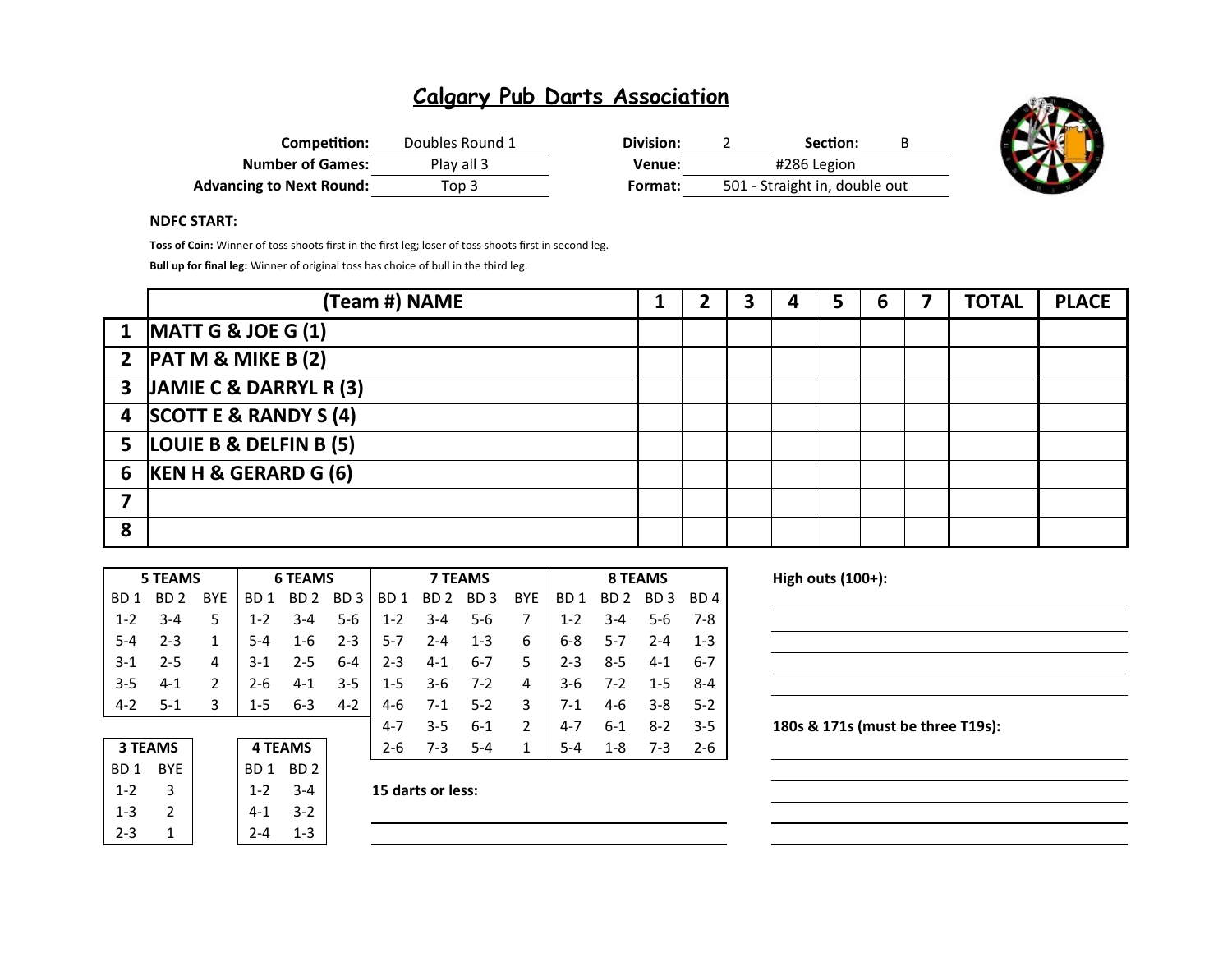| Competition:                    | Doubles Round 1 | Division: |             | Section:                      | В |
|---------------------------------|-----------------|-----------|-------------|-------------------------------|---|
| <b>Number of Games:</b>         | Play all 3      | Venue:    | #286 Legion |                               |   |
| <b>Advancing to Next Round:</b> | Top 3           | Format:   |             | 501 - Straight in, double out |   |



#### **NDFC START:**

**Toss of Coin:** Winner of toss shoots first in the first leg; loser of toss shoots first in second leg.

**Bull up for final leg:** Winner of original toss has choice of bull in the third leg.

|   | (Team #) NAME                   |  |  | 6 | <b>TOTAL</b> | <b>PLACE</b> |
|---|---------------------------------|--|--|---|--------------|--------------|
|   | 1 MATT G & JOE G $(1)$          |  |  |   |              |              |
|   | 2 $\overline{PATM8}$ MIKE B (2) |  |  |   |              |              |
|   | 3 JAMIE C & DARRYL R (3)        |  |  |   |              |              |
|   | 4 SCOTT E & RANDY S (4)         |  |  |   |              |              |
|   | 5 LOUIE B & DELFIN B (5)        |  |  |   |              |              |
|   | 6 $KEN H & GERARD G (6)$        |  |  |   |              |              |
|   |                                 |  |  |   |              |              |
| 8 |                                 |  |  |   |              |              |

| <b>5 TEAMS</b> |                 |                 |            |                | <b>6 TEAMS</b>  |                 |          | <b>7 TEAMS</b>  |                 |               |                 | <b>8 TEAMS</b>  |          |         |  |
|----------------|-----------------|-----------------|------------|----------------|-----------------|-----------------|----------|-----------------|-----------------|---------------|-----------------|-----------------|----------|---------|--|
|                | BD.<br>1        | BD <sub>2</sub> | <b>BYE</b> | BD.<br>1       | BD <sub>2</sub> | BD <sub>3</sub> | BD.<br>1 | BD <sub>2</sub> | BD <sub>3</sub> | <b>BYE</b>    | BD <sub>1</sub> | BD <sub>2</sub> | BD.<br>3 | BD 4    |  |
|                | $1 - 2$         | $3 - 4$         | 5          | $1 - 2$        | $3 - 4$         | $5-6$           | $1 - 2$  | $3 - 4$         | $5 - 6$         |               | $1 - 2$         | $3 - 4$         | $5 - 6$  | 7-8     |  |
|                | $5 - 4$         | $2 - 3$         | 1          | 5-4            | $1 - 6$         | $2 - 3$         | 5-7      | $2 - 4$         | $1 - 3$         | 6             | $6-8$           | $5 - 7$         | $2 - 4$  | $1 - 3$ |  |
|                | $3 - 1$         | $2 - 5$         | 4          | $3-1$          | $2 - 5$         | $6 - 4$         | 2-3      | $4 - 1$         | $6 - 7$         | 5             | $2 - 3$         | $8 - 5$         | $4 - 1$  | $6 - 7$ |  |
|                | $3 - 5$         | $4 - 1$         | 2          | $2 - 6$        | $4 - 1$         | $3 - 5$         | $1 - 5$  | $3-6$           | $7-2$           | 4             | $3-6$           | $7 - 2$         | $1 - 5$  | $8 - 4$ |  |
|                | $4 - 2$         | $5-1$           | 3          | $1 - 5$        | $6 - 3$         | $4 - 2$         | $4-6$    | $7 - 1$         | $5 - 2$         | 3             | $7-1$           | $4-6$           | $3 - 8$  | $5-2$   |  |
|                |                 |                 |            |                |                 |                 | $4 - 7$  | $3 - 5$         | $6 - 1$         | $\mathcal{P}$ | $4 - 7$         | $6 - 1$         | $8 - 2$  | $3 - 5$ |  |
| <b>3 TEAMS</b> |                 |                 |            | <b>4 TEAMS</b> |                 | $2 - 6$         | $7 - 3$  | $5 - 4$         | 1               | $5 - 4$       | $1 - 8$         | $7-3$           | $2 - 6$  |         |  |
|                | BD <sub>1</sub> | <b>BYE</b>      |            | BD 1           | BD <sub>2</sub> |                 |          |                 |                 |               |                 |                 |          |         |  |

| z-o<br>כ- ז       | 4 I LAIVIJ |         |            | 3 I LAIVIJ |
|-------------------|------------|---------|------------|------------|
|                   | BD 2       | BD 1    | <b>BYF</b> | BD 1       |
| 15 darts or less: | $3 - 4$    | $1 - 2$ |            | $1 - 2$    |
|                   | $3-2$      | $4 - 1$ |            | $1 - 3$    |
|                   | $1 - 3$    |         |            | $2 - 3$    |
|                   |            |         |            |            |

| 15 darts or less: |  |
|-------------------|--|
|                   |  |

**High outs (100+):** 

| <u> 2000 - Andrea Andrew Maria (h. 1888).</u>                                    |  |  |
|----------------------------------------------------------------------------------|--|--|
|                                                                                  |  |  |
|                                                                                  |  |  |
|                                                                                  |  |  |
|                                                                                  |  |  |
|                                                                                  |  |  |
| ,我们也不会有什么?""我们的人,我们也不会有什么?""我们的人,我们也不会有什么?""我们的人,我们也不会有什么?""我们的人,我们也不会有什么?""我们的人 |  |  |
|                                                                                  |  |  |
|                                                                                  |  |  |

180s & 171s (must be three T19s):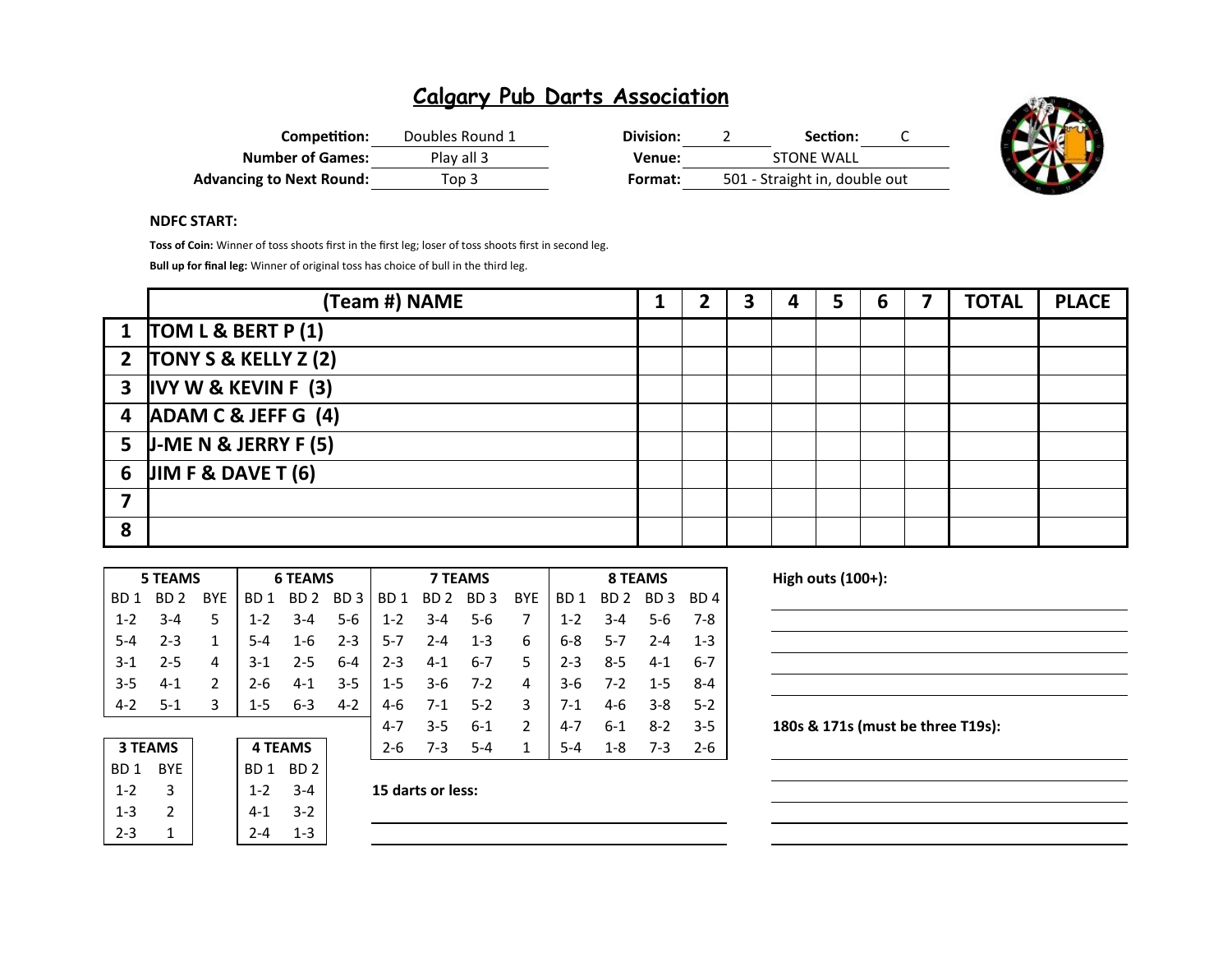| Competition:                    | Doubles Round 1 | Division: | Section:                      |  |
|---------------------------------|-----------------|-----------|-------------------------------|--|
| <b>Number of Games:</b>         | Play all 3      | Venue:    | STONE WALL                    |  |
| <b>Advancing to Next Round:</b> | Top 3           | Format:   | 501 - Straight in, double out |  |



#### **NDFC START:**

**Toss of Coin:** Winner of toss shoots first in the first leg; loser of toss shoots first in second leg.

**Bull up for final leg:** Winner of original toss has choice of bull in the third leg.

|   | (Team #) NAME            | 2 | 3 | 4 | 5 | 6 | <b>TOTAL</b> | <b>PLACE</b> |
|---|--------------------------|---|---|---|---|---|--------------|--------------|
|   | 1 $TOM L & BERT P (1)$   |   |   |   |   |   |              |              |
|   | 2 $TONY S & KELLY Z (2)$ |   |   |   |   |   |              |              |
|   | $3$ IVY W & KEVIN F (3)  |   |   |   |   |   |              |              |
|   | 4 ADAM C & JEFF G (4)    |   |   |   |   |   |              |              |
|   | 5 J-ME N & JERRY F $(5)$ |   |   |   |   |   |              |              |
|   | 6 JIM F & DAVE T $(6)$   |   |   |   |   |   |              |              |
|   |                          |   |   |   |   |   |              |              |
| 8 |                          |   |   |   |   |   |              |              |

| <b>5 TEAMS</b> |                 |                 |            | <b>6 TEAMS</b>  |                 |                 |                 | <b>7 TEAMS</b>  |                 |               |         | <b>8 TEAMS</b>  |                 |                 |  |
|----------------|-----------------|-----------------|------------|-----------------|-----------------|-----------------|-----------------|-----------------|-----------------|---------------|---------|-----------------|-----------------|-----------------|--|
|                | BD.<br>1        | BD <sub>2</sub> | <b>BYE</b> | 1<br>BD.        | BD <sub>2</sub> | BD <sub>3</sub> | BD <sub>1</sub> | BD <sub>2</sub> | BD <sub>3</sub> | <b>BYE</b>    | BD 1    | BD <sub>2</sub> | BD <sub>3</sub> | BD <sub>4</sub> |  |
|                | $1 - 2$         | $3 - 4$         | 5          | $1 - 2$         | $3 - 4$         | $5 - 6$         | $1 - 2$         | $3 - 4$         | $5 - 6$         | 7             | $1 - 2$ | $3 - 4$         | $5 - 6$         | 7-8             |  |
|                | $5 - 4$         | $2 - 3$         | 1          | 5-4             | $1 - 6$         | $2 - 3$         | $5 - 7$         | $2 - 4$         | $1 - 3$         | 6             | $6 - 8$ | $5 - 7$         | $2 - 4$         | $1 - 3$         |  |
|                | $3 - 1$         | $2 - 5$         | 4          | $3-1$           | $2 - 5$         | $6 - 4$         | $2 - 3$         | $4 - 1$         | $6 - 7$         | 5             | $2 - 3$ | $8 - 5$         | $4 - 1$         | $6 - 7$         |  |
|                | $3 - 5$         | $4 - 1$         | 2          | 2-6             | $4 - 1$         | $3 - 5$         | $1 - 5$         | $3-6$           | $7-2$           | 4             | $3-6$   | $7-2$           | $1 - 5$         | $8 - 4$         |  |
|                | $4-2$           | $5-1$           | 3          | $1 - 5$         | $6 - 3$         | $4 - 2$         | 4-6             | $7-1$           | $5-2$           | 3             | $7-1$   | $4-6$           | $3 - 8$         | $5-2$           |  |
|                |                 |                 |            |                 |                 |                 | $4 - 7$         | $3 - 5$         | $6 - 1$         | $\mathcal{P}$ | $4 - 7$ | $6 - 1$         | $8 - 2$         | $3 - 5$         |  |
|                | <b>3 TEAMS</b>  |                 |            |                 | <b>4 TEAMS</b>  |                 | $2 - 6$         | $7 - 3$         | $5 - 4$         | 1             | $5 - 4$ | $1 - 8$         | $7 - 3$         | $2 - 6$         |  |
|                | BD <sub>1</sub> | <b>BYE</b>      |            | BD <sub>1</sub> | BD <sub>2</sub> |                 |                 |                 |                 |               |         |                 |                 |                 |  |

|                   | BD <sub>2</sub> | BD 1    | <b>RYF</b> | BD 1    |
|-------------------|-----------------|---------|------------|---------|
| 15 darts or less: | $3 - 4$         | $1 - 2$ |            | $1 - 2$ |
|                   | $3 - 2$         | 4-1     |            | $1 - 3$ |
|                   | 1-3             |         |            | -2-3    |
|                   |                 |         |            |         |

| 15 darts or less: |  |
|-------------------|--|
|                   |  |

**High outs (100+):** 

| <u> 1989 - Johann Stoff, deutscher Stoffen und der Stoffen und der Stoffen und der Stoffen und der Stoffen und der</u> |  |  |
|------------------------------------------------------------------------------------------------------------------------|--|--|
|                                                                                                                        |  |  |

180s & 171s (must be three T19s):